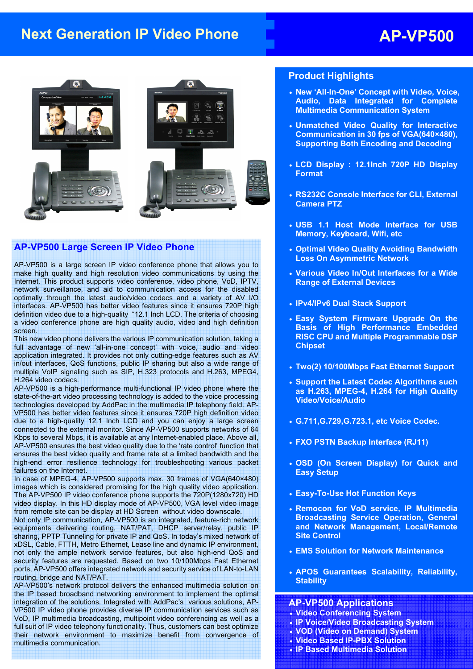# **Next Generation IP Video Phone AP-VP500**



#### **AP-VP500 Large Screen IP Video Phone**

AP-VP500 is a large screen IP video conference phone that allows you to make high quality and high resolution video communications by using the Internet. This product supports video conference, video phone, VoD, IPTV, network surveillance, and aid to communication access for the disabled optimally through the latest audio/video codecs and a variety of AV I/O interfaces. AP-VP500 has better video features since it ensures 720P high definition video due to a high-quality "12.1 Inch LCD. The criteria of choosing a video conference phone are high quality audio, video and high definition screen.

This new video phone delivers the various IP communication solution, taking a full advantage of new 'all-in-one concept' with voice, audio and video application integrated. It provides not only cutting-edge features such as AV in/out interfaces, QoS functions, public IP sharing but also a wide range of multiple VoIP signaling such as SIP, H.323 protocols and H.263, MPEG4, H.264 video codecs.

AP-VP500 is a high-performance multi-functional IP video phone where the state-of-the-art video processing technology is added to the voice processing technologies developed by AddPac in the multimedia IP telephony field. AP-VP500 has better video features since it ensures 720P high definition video due to a high-quality 12.1 Inch LCD and you can enjoy a large screen connected to the external monitor. Since AP-VP500 supports networks of 64 Kbps to several Mbps, it is available at any Internet-enabled place. Above all, AP-VP500 ensures the best video quality due to the 'rate control' function that ensures the best video quality and frame rate at a limited bandwidth and the high-end error resilience technology for troubleshooting various packet failures on the Internet.

In case of MPEG-4, AP-VP500 supports max. 30 frames of VGA(640×480) images which is considered promising for the high quality video application. The AP-VP500 IP video conference phone supports the 720P(1280x720) HD video display. In this HD display mode of AP-VP500, VGA level video image from remote site can be display at HD Screen without video downscale.

Not only IP communication, AP-VP500 is an integrated, feature-rich network equipments delivering routing, NAT/PAT, DHCP server/relay, public IP sharing, PPTP Tunneling for private IP and QoS. In today's mixed network of xDSL, Cable, FTTH, Metro Ethernet, Lease line and dynamic IP environment, not only the ample network service features, but also high-end QoS and security features are requested. Based on two 10/100Mbps Fast Ethernet ports, AP-VP500 offers integrated network and security service of LAN-to-LAN routing, bridge and NAT/PAT.

AP-VP500's network protocol delivers the enhanced multimedia solution on the IP based broadband networking environment to implement the optimal integration of the solutions. Integrated with AddPac's various solutions, AP-VP500 IP video phone provides diverse IP communication services such as VoD, IP multimedia broadcasting, multipoint video conferencing as well as a full suit of IP video telephony functionality. Thus, customers can best optimize their network environment to maximize benefit from convergence of multimedia communication.

#### **Product Highlights**

- **New 'All-In-One' Concept with Video, Voice, Audio, Data Integrated for Complete Multimedia Communication System**
- **Unmatched Video Quality for Interactive Communication in 30 fps of VGA(640×480), Supporting Both Encoding and Decoding**
- **LCD Display : 12.1Inch 720P HD Display Format**
- **RS232C Console Interface for CLI, External Camera PTZ**
- **USB 1.1 Host Mode Interface for USB Memory, Keyboard, Wifi, etc**
- **Optimal Video Quality Avoiding Bandwidth Loss On Asymmetric Network**
- **Various Video In/Out Interfaces for a Wide Range of External Devices**
- **IPv4/IPv6 Dual Stack Support**
- **Easy System Firmware Upgrade On the Basis of High Performance Embedded RISC CPU and Multiple Programmable DSP Chipset**
- **Two(2) 10/100Mbps Fast Ethernet Support**
- **Support the Latest Codec Algorithms such as H.263, MPEG-4, H.264 for High Quality Video/Voice/Audio**
- **G.711,G.729,G.723.1, etc Voice Codec.**
- **FXO PSTN Backup Interface (RJ11)**
- **OSD (On Screen Display) for Quick and Easy Setup**
- **Easy-To-Use Hot Function Keys**
- **Remocon for VoD service, IP Multimedia Broadcasting Service Operation, General and Network Management, Local/Remote Site Control**
- **EMS Solution for Network Maintenance**
- **APOS Guarantees Scalability, Reliability, Stability**

#### **AP-VP500 Applications**

- **Video Conferencing System**
- **IP Voice/Video Broadcasting System**
- **VOD (Video on Demand) System**
- **Video Based IP-PBX Solution**
- **IP Based Multimedia Solution**